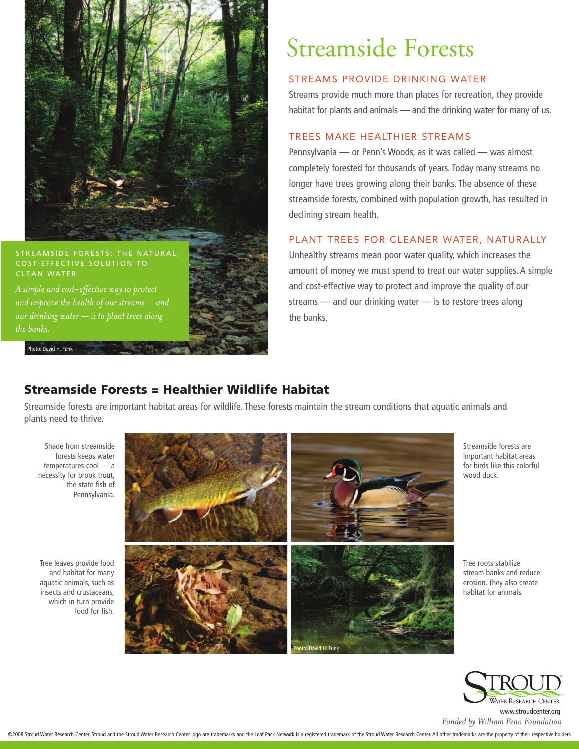

#### STREAMSIDE FORESTS: THE NATURAL COST-EFFECTIVE SOLUTION TO CLEAN WATER

*A simple and cost-effective way to protect and improve the health of our streams — and our drinking water — is to plant trees along the banks.* 

Photo: David H. Funk

## Streamside Forests

#### STREAMS PROVIDE DRINKING WATER

Streams provide much more than places for recreation, they provide habitat for plants and animals — and the drinking water for many of us.

#### TREES MAKE HEALTHIER STREAMS

Pennsylvania — or Penn's Woods, as it was called — was almost completely forested for thousands of years. Today many streams no longer have trees growing along their banks. The absence of these streamside forests, combined with population growth, has resulted in declining stream health.

#### PLANT TREES FOR CLEANER WATER, NATURALLY

Unhealthy streams mean poor water quality, which increases the amount of money we must spend to treat our water supplies. A simple and cost-effective way to protect and improve the quality of our streams — and our drinking water — is to restore trees along the banks.

## **Streamside Forests = Healthier Wildlife Habitat**

Streamside forests are important habitat areas for wildlife. These forests maintain the stream conditions that aquatic animals and plants need to thrive.

Shade from streamside forests keeps water temperatures cool — a necessity for brook trout, the state fish of Pennsylvania.

Tree leaves provide food and habitat for many aquatic animals, such as insects and crustaceans, which in turn provide food for fish.



Streamside forests are important habitat areas for birds like this colorful wood duck.

Tree roots stabilize stream banks and reduce erosion. They also create habitat for animals.



*Funded by William Penn Foundation* www.stroudcenter.org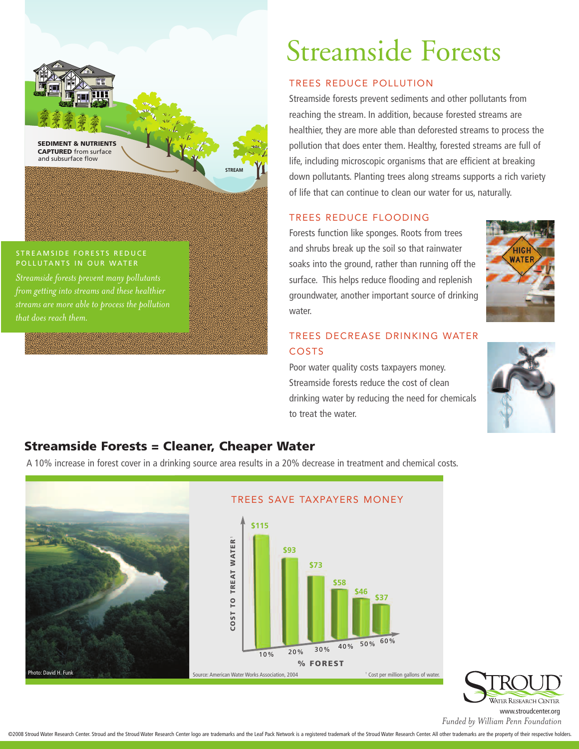

#### STREAMSIDE FORESTS REDUCE POLLUTANTS IN OUR WATER

*Streamside forests prevent many pollutants from getting into streams and these healthier streams are more able to process the pollution that does reach them.*

# Streamside Forests

## TREES REDUCE POLLUTION

Streamside forests prevent sediments and other pollutants from reaching the stream. In addition, because forested streams are healthier, they are more able than deforested streams to process the pollution that does enter them. Healthy, forested streams are full of life, including microscopic organisms that are efficient at breaking down pollutants. Planting trees along streams supports a rich variety of life that can continue to clean our water for us, naturally.

## TREES REDUCE FLOODING

Forests function like sponges. Roots from trees and shrubs break up the soil so that rainwater soaks into the ground, rather than running off the surface. This helps reduce flooding and replenish groundwater, another important source of drinking water.



## TREES DECREASE DRINKING WATER COSTS

Poor water quality costs taxpayers money. Streamside forests reduce the cost of clean drinking water by reducing the need for chemicals to treat the water.



## **Streamside Forests = Cleaner, Cheaper Water**

A 10% increase in forest cover in a drinking source area results in a 20% decrease in treatment and chemical costs.





*Funded by William Penn Foundation* www.stroudcenter.org